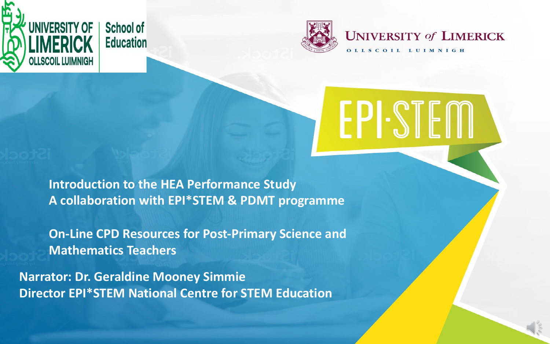



**Introduction to the HEA Performance Study A collaboration with EPI\*STEM & PDMT programme**

**On-Line CPD Resources for Post-Primary Science and Mathematics Teachers**

**Narrator: Dr. Geraldine Mooney Simmie Director EPI\*STEM National Centre for STEM Education**

## **UNIVERSITY of LIMERICK**

OLLSCOIL LUIMNIGH

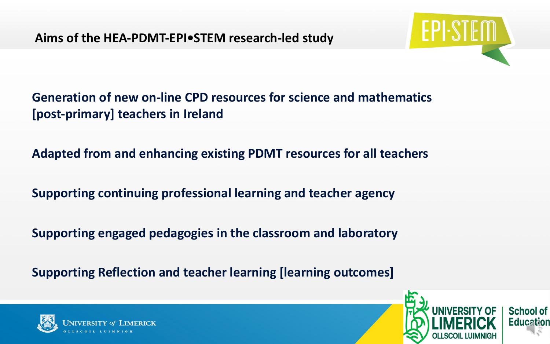**Generation of new on-line CPD resources for science and mathematics [post-primary] teachers in Ireland**

**Adapted from and enhancing existing PDMT resources for all teachers**

**Supporting continuing professional learning and teacher agency**

**Supporting engaged pedagogies in the classroom and laboratory**

**Supporting Reflection and teacher learning [learning outcomes]**





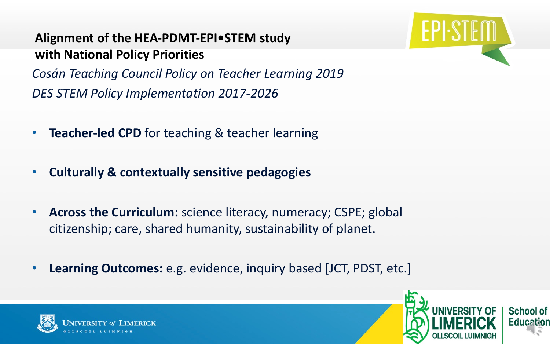## **Alignment of the HEA-PDMT-EPI•STEM study with National Policy Priorities**

*Cosán Teaching Council Policy on Teacher Learning 2019 DES STEM Policy Implementation 2017-2026*

- **Teacher-led CPD** for teaching & teacher learning
- **Culturally & contextually sensitive pedagogies**
- **Across the Curriculum:** science literacy, numeracy; CSPE; global citizenship; care, shared humanity, sustainability of planet.
- **Learning Outcomes:** e.g. evidence, inquiry based [JCT, PDST, etc.]





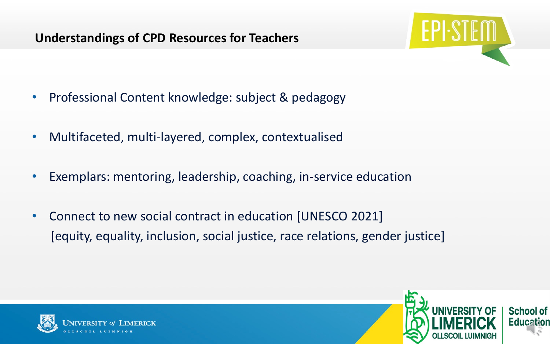## **Understandings of CPD Resources for Teachers**

- Professional Content knowledge: subject & pedagogy
- Multifaceted, multi-layered, complex, contextualised
- Exemplars: mentoring, leadership, coaching, in-service education
- Connect to new social contract in education [UNESCO 2021] [equity, equality, inclusion, social justice, race relations, gender justice]





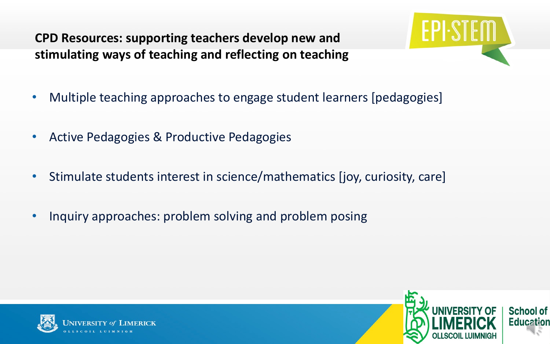## **CPD Resources: supporting teachers develop new and stimulating ways of teaching and reflecting on teaching**

- Multiple teaching approaches to engage student learners [pedagogies]
- Active Pedagogies & Productive Pedagogies
- Stimulate students interest in science/mathematics [joy, curiosity, care]
- Inquiry approaches: problem solving and problem posing





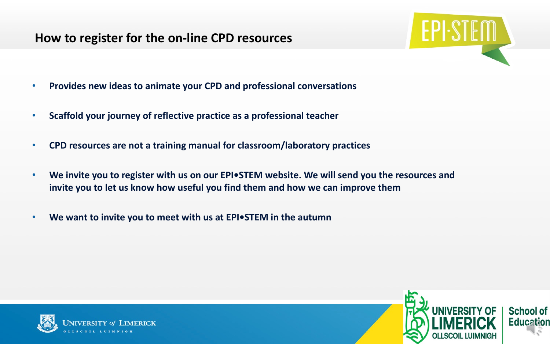## **How to register for the on-line CPD resources**

- **Provides new ideas to animate your CPD and professional conversations**
- **Scaffold your journey of reflective practice as a professional teacher**
- **CPD resources are not a training manual for classroom/laboratory practices**
- We invite you to register with us on our EPI. STEM website. We will send you the resources and **invite you to let us know how useful you find them and how we can improve them**
- **We want to invite you to meet with us at EPI•STEM in the autumn**